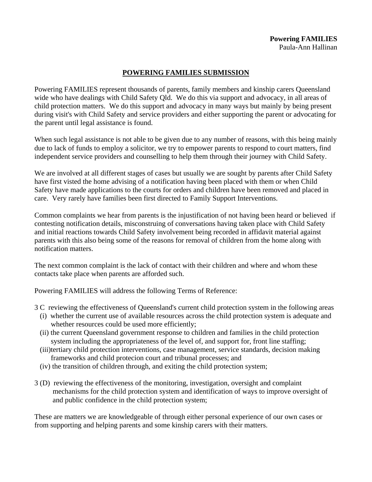# **POWERING FAMILIES SUBMISSION**

Powering FAMILIES represent thousands of parents, family members and kinship carers Queensland wide who have dealings with Child Safety Qld. We do this via support and advocacy, in all areas of child protection matters. We do this support and advocacy in many ways but mainly by being present during visit's with Child Safety and service providers and either supporting the parent or advocating for the parent until legal assistance is found.

When such legal assistance is not able to be given due to any number of reasons, with this being mainly due to lack of funds to employ a solicitor, we try to empower parents to respond to court matters, find independent service providers and counselling to help them through their journey with Child Safety.

We are involved at all different stages of cases but usually we are sought by parents after Child Safety have first visted the home advising of a notification having been placed with them or when Child Safety have made applications to the courts for orders and children have been removed and placed in care. Very rarely have families been first directed to Family Support Interventions.

Common complaints we hear from parents is the injustification of not having been heard or believed if contesting notification details, misconstruing of conversations having taken place with Child Safety and initial reactions towards Child Safety involvement being recorded in affidavit material against parents with this also being some of the reasons for removal of children from the home along with notification matters.

The next common complaint is the lack of contact with their children and where and whom these contacts take place when parents are afforded such.

Powering FAMILIES will address the following Terms of Reference:

3 C reviewing the effectiveness of Queensland's current child protection system in the following areas

- (i) whether the current use of available resources across the child protection system is adequate and whether resources could be used more efficiently;
- (ii) the current Queensland government response to children and families in the child protection system including the appropriateness of the level of, and support for, front line staffing;
- (iii)tertiary child protection interventions, case management, service standards, decision making frameworks and child protecion court and tribunal processes; and
- (iv) the transition of children through, and exiting the child protection system;
- 3 (D) reviewing the effectiveness of the monitoring, investigation, oversight and complaint mechanisms for the child protection system and identification of ways to improve oversight of and public confidence in the child protection system;

These are matters we are knowledgeable of through either personal experience of our own cases or from supporting and helping parents and some kinship carers with their matters.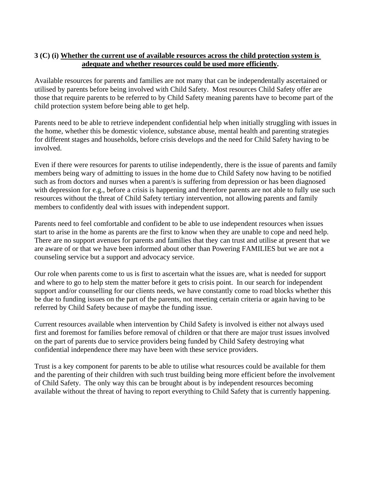# **3 (C) (i) Whether the current use of available resources across the child protection system is adequate and whether resources could be used more efficiently.**

Available resources for parents and families are not many that can be independentally ascertained or utilised by parents before being involved with Child Safety. Most resources Child Safety offer are those that require parents to be referred to by Child Safety meaning parents have to become part of the child protection system before being able to get help.

Parents need to be able to retrieve independent confidential help when initially struggling with issues in the home, whether this be domestic violence, substance abuse, mental health and parenting strategies for different stages and households, before crisis develops and the need for Child Safety having to be involved.

Even if there were resources for parents to utilise independently, there is the issue of parents and family members being wary of admitting to issues in the home due to Child Safety now having to be notified such as from doctors and nurses when a parent/s is suffering from depression or has been diagnosed with depression for e.g., before a crisis is happening and therefore parents are not able to fully use such resources without the threat of Child Safety tertiary intervention, not allowing parents and family members to confidently deal with issues with independent support.

Parents need to feel comfortable and confident to be able to use independent resources when issues start to arise in the home as parents are the first to know when they are unable to cope and need help. There are no support avenues for parents and families that they can trust and utilise at present that we are aware of or that we have been informed about other than Powering FAMILIES but we are not a counseling service but a support and advocacy service.

Our role when parents come to us is first to ascertain what the issues are, what is needed for support and where to go to help stem the matter before it gets to crisis point. In our search for independent support and/or counselling for our clients needs, we have constantly come to road blocks whether this be due to funding issues on the part of the parents, not meeting certain criteria or again having to be referred by Child Safety because of maybe the funding issue.

Current resources available when intervention by Child Safety is involved is either not always used first and foremost for families before removal of children or that there are major trust issues involved on the part of parents due to service providers being funded by Child Safety destroying what confidential independence there may have been with these service providers.

Trust is a key component for parents to be able to utilise what resources could be available for them and the parenting of their children with such trust building being more efficient before the involvement of Child Safety. The only way this can be brought about is by independent resources becoming available without the threat of having to report everything to Child Safety that is currently happening.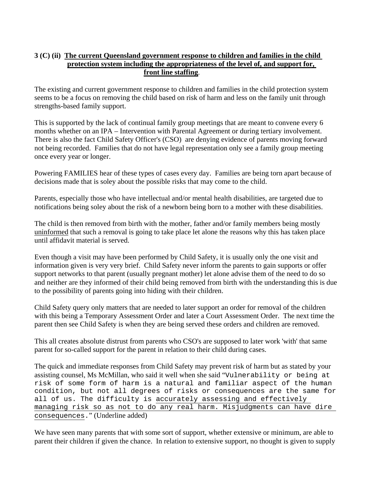# **3 (C) (ii) The current Queensland government response to children and families in the child protection system including the appropriateness of the level of, and support for, front line staffing**.

The existing and current government response to children and families in the child protection system seems to be a focus on removing the child based on risk of harm and less on the family unit through strengths-based family support.

This is supported by the lack of continual family group meetings that are meant to convene every 6 months whether on an IPA – Intervention with Parental Agreement or during tertiary involvement. There is also the fact Child Safety Officer's (CSO) are denying evidence of parents moving forward not being recorded. Families that do not have legal representation only see a family group meeting once every year or longer.

Powering FAMILIES hear of these types of cases every day. Families are being torn apart because of decisions made that is soley about the possible risks that may come to the child.

Parents, especially those who have intellectual and/or mental health disabilities, are targeted due to notifications being soley about the risk of a newborn being born to a mother with these disabilities.

The child is then removed from birth with the mother, father and/or family members being mostly uninformed that such a removal is going to take place let alone the reasons why this has taken place until affidavit material is served.

Even though a visit may have been performed by Child Safety, it is usually only the one visit and information given is very very brief. Child Safety never inform the parents to gain supports or offer support networks to that parent (usually pregnant mother) let alone advise them of the need to do so and neither are they informed of their child being removed from birth with the understanding this is due to the possibility of parents going into hiding with their children.

Child Safety query only matters that are needed to later support an order for removal of the children with this being a Temporary Assessment Order and later a Court Assessment Order. The next time the parent then see Child Safety is when they are being served these orders and children are removed.

This all creates absolute distrust from parents who CSO's are supposed to later work 'with' that same parent for so-called support for the parent in relation to their child during cases.

The quick and immediate responses from Child Safety may prevent risk of harm but as stated by your assisting counsel, Ms McMillan, who said it well when she said "Vulnerability or being at risk of some form of harm is a natural and familiar aspect of the human condition, but not all degrees of risks or consequences are the same for all of us. The difficulty is accurately assessing and effectively managing risk so as not to do any real harm. Misjudgments can have dire consequences." (Underline added)

We have seen many parents that with some sort of support, whether extensive or minimum, are able to parent their children if given the chance. In relation to extensive support, no thought is given to supply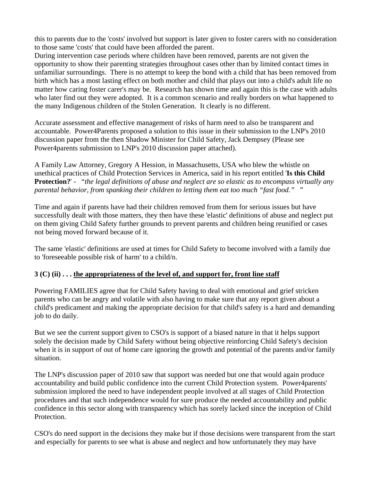this to parents due to the 'costs' involved but support is later given to foster carers with no consideration to those same 'costs' that could have been afforded the parent.

During intervention case periods where children have been removed, parents are not given the opportunity to show their parenting strategies throughout cases other than by limited contact times in unfamiliar surroundings. There is no attempt to keep the bond with a child that has been removed from birth which has a most lasting effect on both mother and child that plays out into a child's adult life no matter how caring foster carer's may be. Research has shown time and again this is the case with adults who later find out they were adopted. It is a common scenario and really borders on what happened to the many Indigenous children of the Stolen Generation. It clearly is no different.

Accurate assessment and effective management of risks of harm need to also be transparent and accountable. Power4Parents proposed a solution to this issue in their submission to the LNP's 2010 discussion paper from the then Shadow Minister for Child Safety, Jack Dempsey (Please see Power4parents submission to LNP's 2010 discussion paper attached).

A Family Law Attorney, Gregory A Hession, in Massachusetts, USA who blew the whistle on unethical practices of Child Protection Services in America, said in his report entitled '**Is this Child Protection?**' - "*the legal definitions of abuse and neglect are so elastic as to encompass virtually any parental behavior, from spanking their children to letting them eat too much "fast food."* "

Time and again if parents have had their children removed from them for serious issues but have successfully dealt with those matters, they then have these 'elastic' definitions of abuse and neglect put on them giving Child Safety further grounds to prevent parents and children being reunified or cases not being moved forward because of it.

The same 'elastic' definitions are used at times for Child Safety to become involved with a family due to 'foreseeable possible risk of harm' to a child/n.

## **3 (C) (ii) . . . the appropriateness of the level of, and support for, front line staff**

Powering FAMILIES agree that for Child Safety having to deal with emotional and grief stricken parents who can be angry and volatile with also having to make sure that any report given about a child's predicament and making the appropriate decision for that child's safety is a hard and demanding job to do daily.

But we see the current support given to CSO's is support of a biased nature in that it helps support solely the decision made by Child Safety without being objective reinforcing Child Safety's decision when it is in support of out of home care ignoring the growth and potential of the parents and/or family situation.

The LNP's discussion paper of 2010 saw that support was needed but one that would again produce accountability and build public confidence into the current Child Protection system. Power4parents' submission implored the need to have independent people involved at all stages of Child Protection procedures and that such independence would for sure produce the needed accountability and public confidence in this sector along with transparency which has sorely lacked since the inception of Child Protection.

CSO's do need support in the decisions they make but if those decisions were transparent from the start and especially for parents to see what is abuse and neglect and how unfortunately they may have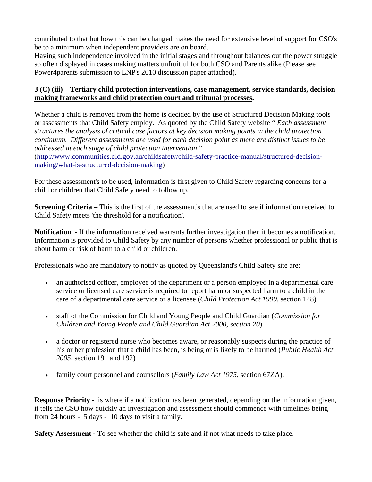contributed to that but how this can be changed makes the need for extensive level of support for CSO's be to a minimum when independent providers are on board.

Having such independence involved in the initial stages and throughout balances out the power struggle so often displayed in cases making matters unfruitful for both CSO and Parents alike (Please see Power4parents submission to LNP's 2010 discussion paper attached).

## **3 (C) (iii) Tertiary child protection interventions, case management, service standards, decision making frameworks and child protection court and tribunal processes.**

Whether a child is removed from the home is decided by the use of Structured Decision Making tools or assessments that Child Safety employ. As quoted by the Child Safety website " *Each assessment structures the analysis of critical case factors at key decision making points in the child protection continuum. Different assessments are used for each decision point as there are distinct issues to be addressed at each stage of child protection intervention*."

([http://www.communities.qld.gov.au/childsafety/child-safety-practice-manual/structured-decision](http://www.communities.qld.gov.au/childsafety/child-safety-practice-manual/structured-decision-making/what-is-structured-decision-making)[making/what-is-structured-decision-making](http://www.communities.qld.gov.au/childsafety/child-safety-practice-manual/structured-decision-making/what-is-structured-decision-making))

For these assessment's to be used, information is first given to Child Safety regarding concerns for a child or children that Child Safety need to follow up.

**Screening Criteria** – This is the first of the assessment's that are used to see if information received to Child Safety meets 'the threshold for a notification'.

**Notification** - If the information received warrants further investigation then it becomes a notification. Information is provided to Child Safety by any number of persons whether professional or public that is about harm or risk of harm to a child or children.

Professionals who are mandatory to notify as quoted by Queensland's Child Safety site are:

- an authorised officer, employee of the department or a person employed in a departmental care service or licensed care service is required to report harm or suspected harm to a child in the care of a departmental care service or a licensee (*Child Protection Act 1999*, section 148)
- staff of the Commission for Child and Young People and Child Guardian (*Commission for Children and Young People and Child Guardian Act 2000, section 20*)
- a doctor or registered nurse who becomes aware, or reasonably suspects during the practice of his or her profession that a child has been, is being or is likely to be harmed (*Public Health Act 2005*, section 191 and 192)
- family court personnel and counsellors (*Family Law Act 1975*, section 67ZA).

**Response Priority** - is where if a notification has been generated, depending on the information given, it tells the CSO how quickly an investigation and assessment should commence with timelines being from 24 hours - 5 days - 10 days to visit a family.

**Safety Assessment** - To see whether the child is safe and if not what needs to take place.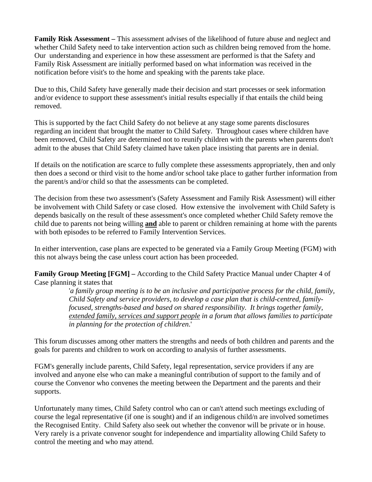**Family Risk Assessment –** This assessment advises of the likelihood of future abuse and neglect and whether Child Safety need to take intervention action such as children being removed from the home. Our understanding and experience in how these assessment are performed is that the Safety and Family Risk Assessment are initially performed based on what information was received in the notification before visit's to the home and speaking with the parents take place.

Due to this, Child Safety have generally made their decision and start processes or seek information and/or evidence to support these assessment's initial results especially if that entails the child being removed.

This is supported by the fact Child Safety do not believe at any stage some parents disclosures regarding an incident that brought the matter to Child Safety. Throughout cases where children have been removed, Child Safety are determined not to reunify children with the parents when parents don't admit to the abuses that Child Safety claimed have taken place insisting that parents are in denial.

If details on the notification are scarce to fully complete these assessments appropriately, then and only then does a second or third visit to the home and/or school take place to gather further information from the parent/s and/or child so that the assessments can be completed.

The decision from these two assessment's (Safety Assessment and Family Risk Assessment) will either be involvement with Child Safety or case closed. How extensive the involvement with Child Safety is depends basically on the result of these assessment's once completed whether Child Safety remove the child due to parents not being willing **and** able to parent or children remaining at home with the parents with both episodes to be referred to Family Intervention Services.

In either intervention, case plans are expected to be generated via a Family Group Meeting (FGM) with this not always being the case unless court action has been proceeded.

**Family Group Meeting [FGM] –** According to the Child Safety Practice Manual under Chapter 4 of Case planning it states that

> '*a family group meeting is to be an inclusive and participative process for the child, family, Child Safety and service providers, to develop a case plan that is child-centred, family focused, strengths-based and based on shared responsibility. It brings together family, extended family, services and support people in a forum that allows families to participate in planning for the protection of children*.'

This forum discusses among other matters the strengths and needs of both children and parents and the goals for parents and children to work on according to analysis of further assessments.

FGM's generally include parents, Child Safety, legal representation, service providers if any are involved and anyone else who can make a meaningful contribution of support to the family and of course the Convenor who convenes the meeting between the Department and the parents and their supports.

Unfortunately many times, Child Safety control who can or can't attend such meetings excluding of course the legal representative (if one is sought) and if an indigenous child/n are involved sometimes the Recognised Entity. Child Safety also seek out whether the convenor will be private or in house. Very rarely is a private convenor sought for independence and impartiality allowing Child Safety to control the meeting and who may attend.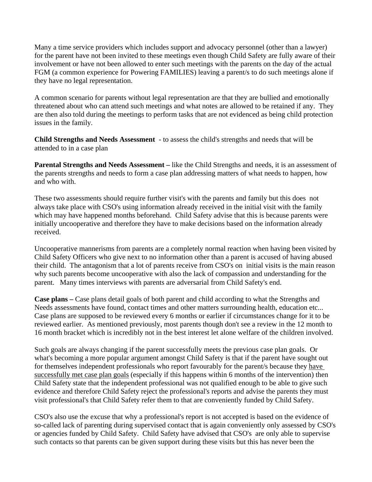Many a time service providers which includes support and advocacy personnel (other than a lawyer) for the parent have not been invited to these meetings even though Child Safety are fully aware of their involvement or have not been allowed to enter such meetings with the parents on the day of the actual FGM (a common experience for Powering FAMILIES) leaving a parent/s to do such meetings alone if they have no legal representation.

A common scenario for parents without legal representation are that they are bullied and emotionally threatened about who can attend such meetings and what notes are allowed to be retained if any. They are then also told during the meetings to perform tasks that are not evidenced as being child protection issues in the family.

**Child Strengths and Needs Assessment** - to assess the child's strengths and needs that will be attended to in a case plan

**Parental Strengths and Needs Assessment** – like the Child Strengths and needs, it is an assessment of the parents strengths and needs to form a case plan addressing matters of what needs to happen, how and who with.

These two assessments should require further visit's with the parents and family but this does not always take place with CSO's using information already received in the initial visit with the family which may have happened months beforehand. Child Safety advise that this is because parents were initially uncooperative and therefore they have to make decisions based on the information already received.

Uncooperative mannerisms from parents are a completely normal reaction when having been visited by Child Safety Officers who give next to no information other than a parent is accused of having abused their child. The antagonism that a lot of parents receive from CSO's on initial visits is the main reason why such parents become uncooperative with also the lack of compassion and understanding for the parent. Many times interviews with parents are adversarial from Child Safety's end.

**Case plans –** Case plans detail goals of both parent and child according to what the Strengths and Needs assessments have found, contact times and other matters surrounding health, education etc... Case plans are supposed to be reviewed every 6 months or earlier if circumstances change for it to be reviewed earlier. As mentioned previously, most parents though don't see a review in the 12 month to 16 month bracket which is incredibly not in the best interest let alone welfare of the children involved.

Such goals are always changing if the parent successfully meets the previous case plan goals. Or what's becoming a more popular argument amongst Child Safety is that if the parent have sought out for themselves independent professionals who report favourably for the parent/s because they have successfully met case plan goals (especially if this happens within 6 months of the intervention) then Child Safety state that the independent professional was not qualified enough to be able to give such evidence and therefore Child Safety reject the professional's reports and advise the parents they must visit professional's that Child Safety refer them to that are conveniently funded by Child Safety.

CSO's also use the excuse that why a professional's report is not accepted is based on the evidence of so-called lack of parenting during supervised contact that is again conveniently only assessed by CSO's or agencies funded by Child Safety. Child Safety have advised that CSO's are only able to supervise such contacts so that parents can be given support during these visits but this has never been the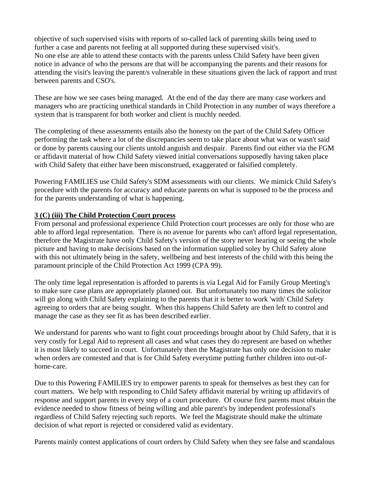objective of such supervised visits with reports of so-called lack of parenting skills being used to further a case and parents not feeling at all supported during these supervised visit's. No one else are able to attend these contacts with the parents unless Child Safety have been given notice in advance of who the persons are that will be accompanying the parents and their reasons for attending the visit's leaving the parent/s vulnerable in these situations given the lack of rapport and trust between parents and CSO's.

These are how we see cases being managed. At the end of the day there are many case workers and managers who are practicing unethical standards in Child Protection in any number of ways therefore a system that is transparent for both worker and client is muchly needed.

The completing of these assessments entails also the honesty on the part of the Child Safety Officer performing the task where a lot of the discrepancies seem to take place about what was or wasn't said or done by parents causing our clients untold anguish and despair. Parents find out either via the FGM or affidavit material of how Child Safety viewed initial conversations supposedly having taken place with Child Safety that either have been misconstrued, exaggerated or falsified completely.

Powering FAMILIES use Child Safety's SDM assessments with our clients. We mimick Child Safety's procedure with the parents for accuracy and educate parents on what is supposed to be the process and for the parents understanding of what is happening.

#### **3 (C) (iii) The Child Protection Court process**

From personal and professional experience Child Protection court processes are only for those who are able to afford legal representation. There is no avenue for parents who can't afford legal representation, therefore the Magistrate have only Child Safety's version of the story never hearing or seeing the whole picture and having to make decisions based on the information supplied soley by Child Safety alone with this not ultimately being in the safety, wellbeing and best interests of the child with this being the paramount principle of the Child Protection Act 1999 (CPA 99).

The only time legal representation is afforded to parents is via Legal Aid for Family Group Meeting's to make sure case plans are appropriately planned out. But unfortunately too many times the solicitor will go along with Child Safety explaining to the parents that it is better to work 'with' Child Safety agreeing to orders that are being sought. When this happens Child Safety are then left to control and manage the case as they see fit as has been described earlier.

We understand for parents who want to fight court proceedings brought about by Child Safety, that it is very costly for Legal Aid to represent all cases and what cases they do represent are based on whether it is most likely to succeed in court. Unfortunately then the Magistrate has only one decision to make when orders are contested and that is for Child Safety everytime putting further children into out-ofhome-care.

Due to this Powering FAMILIES try to empower parents to speak for themselves as best they can for court matters. We help with responding to Child Safety affidavit material by writing up affidavit's of response and support parents in every step of a court procedure. Of course first parents must obtain the evidence needed to show fitness of being willing and able parent's by independent professional's regardless of Child Safety rejecting such reports. We feel the Magistrate should make the ultimate decision of what report is rejected or considered valid as evidentary.

Parents mainly contest applications of court orders by Child Safety when they see false and scandalous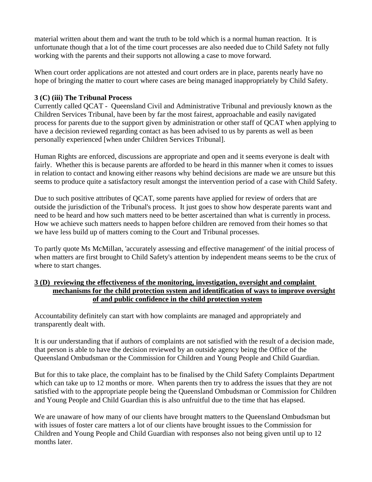material written about them and want the truth to be told which is a normal human reaction. It is unfortunate though that a lot of the time court processes are also needed due to Child Safety not fully working with the parents and their supports not allowing a case to move forward.

When court order applications are not attested and court orders are in place, parents nearly have no hope of bringing the matter to court where cases are being managed inappropriately by Child Safety.

## **3 (C) (iii) The Tribunal Process**

Currently called QCAT - Queensland Civil and Administrative Tribunal and previously known as the Children Services Tribunal, have been by far the most fairest, approachable and easily navigated process for parents due to the support given by administration or other staff of QCAT when applying to have a decision reviewed regarding contact as has been advised to us by parents as well as been personally experienced [when under Children Services Tribunal].

Human Rights are enforced, discussions are appropriate and open and it seems everyone is dealt with fairly. Whether this is because parents are afforded to be heard in this manner when it comes to issues in relation to contact and knowing either reasons why behind decisions are made we are unsure but this seems to produce quite a satisfactory result amongst the intervention period of a case with Child Safety.

Due to such positive attributes of QCAT, some parents have applied for review of orders that are outside the jurisdiction of the Tribunal's process. It just goes to show how desperate parents want and need to be heard and how such matters need to be better ascertained than what is currently in process. How we achieve such matters needs to happen before children are removed from their homes so that we have less build up of matters coming to the Court and Tribunal processes.

To partly quote Ms McMillan, 'accurately assessing and effective management' of the initial process of when matters are first brought to Child Safety's attention by independent means seems to be the crux of where to start changes.

## **3 (D) reviewing the effectiveness of the monitoring, investigation, oversight and complaint mechanisms for the child protection system and identification of ways to improve oversight of and public confidence in the child protection system**

Accountability definitely can start with how complaints are managed and appropriately and transparently dealt with.

It is our understanding that if authors of complaints are not satisfied with the result of a decision made, that person is able to have the decision reviewed by an outside agency being the Office of the Queensland Ombudsman or the Commission for Children and Young People and Child Guardian.

But for this to take place, the complaint has to be finalised by the Child Safety Complaints Department which can take up to 12 months or more. When parents then try to address the issues that they are not satisfied with to the appropriate people being the Queensland Ombudsman or Commission for Children and Young People and Child Guardian this is also unfruitful due to the time that has elapsed.

We are unaware of how many of our clients have brought matters to the Queensland Ombudsman but with issues of foster care matters a lot of our clients have brought issues to the Commission for Children and Young People and Child Guardian with responses also not being given until up to 12 months later.